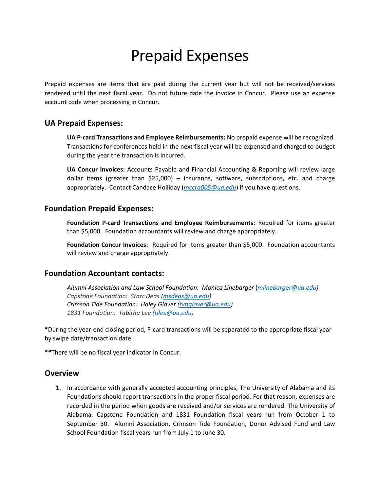# Prepaid Expenses

Prepaid expenses are items that are paid during the current year but will not be received/services rendered until the next fiscal year. Do not future date the invoice in Concur. Please use an expense account code when processing in Concur.

## **UA Prepaid Expenses:**

**UA P‐card Transactions and Employee Reimbursements:** No prepaid expense will be recognized. Transactions for conferences held in the next fiscal year will be expensed and charged to budget during the year the transaction is incurred.

**UA Concur Invoices:** Accounts Payable and Financial Accounting & Reporting will review large dollar items (greater than \$25,000) – insurance, software, subscriptions, etc. and charge appropriately. Contact Candace Holliday (*mccra005@ua.edu*) if you have questions.

## **Foundation Prepaid Expenses:**

**Foundation P‐card Transactions and Employee Reimbursements:** Required for items greater than \$5,000. Foundation accountants will review and charge appropriately.

**Foundation Concur Invoices:** Required for items greater than \$5,000. Foundation accountants will review and charge appropriately.

# **Foundation Accountant contacts:**

*Alumni Association and Law School Foundation: Monica Linebarger* (*mlinebarger@ua.edu) Capstone Foundation: Starr Deas (msdeas@ua.edu) Crimson Tide Foundation: Haley Glover (hmglover@ua.edu) 1831 Foundation: Tabitha Lee (tilee@ua.edu)*

\*During the year‐end closing period, P‐card transactions will be separated to the appropriate fiscal year by swipe date/transaction date.

\*\*There will be no fiscal year indicator in Concur.

# **Overview**

1. In accordance with generally accepted accounting principles, The University of Alabama and its Foundations should report transactions in the proper fiscal period. For that reason, expenses are recorded in the period when goods are received and/or services are rendered. The University of Alabama, Capstone Foundation and 1831 Foundation fiscal years run from October 1 to September 30. Alumni Association, Crimson Tide Foundation, Donor Advised Fund and Law School Foundation fiscal years run from July 1 to June 30.